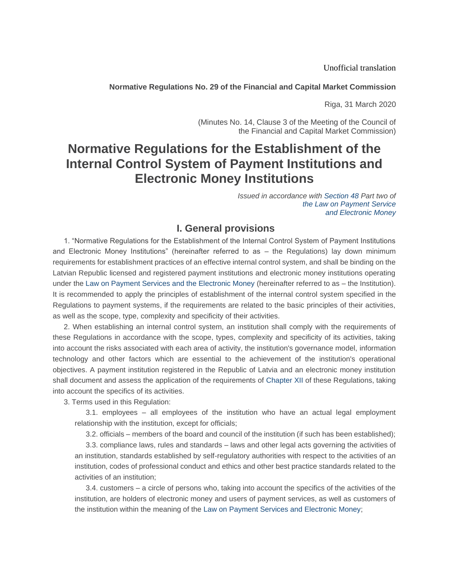Unofficial translation

#### **Normative Regulations No. 29 of the Financial and Capital Market Commission**

Riga, 31 March 2020

(Minutes No. 14, Clause 3 of the Meeting of the Council of the Financial and Capital Market Commission)

# **Normative Regulations for the Establishment of the Internal Control System of Payment Institutions and Electronic Money Institutions**

*Issued in accordance with [Section 48](https://m.likumi.lv/ta/id/206634-maksajumu-pakalpojumu-un-elektroniskas-naudas-likums#p48) Part two o[f](https://m.likumi.lv/ta/id/206634-maksajumu-pakalpojumu-un-elektroniskas-naudas-likums) [the Law on Payment Service](https://m.likumi.lv/ta/id/206634-maksajumu-pakalpojumu-un-elektroniskas-naudas-likums) [and Electronic Money](https://m.likumi.lv/ta/id/206634-maksajumu-pakalpojumu-un-elektroniskas-naudas-likums)*

# **I. General provisions**

1. "Normative Regulations for the Establishment of the Internal Control System of Payment Institutions and Electronic Money Institutions" (hereinafter referred to as – the Regulations) lay down minimum requirements for establishment practices of an effective internal control system, and shall be binding on the Latvian Republic licensed and registered payment institutions and electronic money institutions operating under the [Law on Payment Services and the Electronic Money](https://m.likumi.lv/ta/id/206634-maksajumu-pakalpojumu-un-elektroniskas-naudas-likums) (hereinafter referred to as – the Institution). It is recommended to apply the principles of establishment of the internal control system specified in the Regulations to payment systems, if the requirements are related to the basic principles of their activities, as well as the scope, type, complexity and specificity of their activities.

2. When establishing an internal control system, an institution shall comply with the requirements of these Regulations in accordance with the scope, types, complexity and specificity of its activities, taking into account the risks associated with each area of activity, the institution's governance model, information technology and other factors which are essential to the achievement of the institution's operational objectives. A payment institution registered in the Republic of Latvia and an electronic money institution shall document and assess the application of the requirements of [Chapter XII](https://m.likumi.lv/ta/id/313745#n12) of these Regulations, taking into account the specifics of its activities.

3. Terms used in this Regulation:

3.1. employees – all employees of the institution who have an actual legal employment relationship with the institution, except for officials;

3.2. officials – members of the board and council of the institution (if such has been established);

3.3. compliance laws, rules and standards – laws and other legal acts governing the activities of an institution, standards established by self-regulatory authorities with respect to the activities of an institution, codes of professional conduct and ethics and other best practice standards related to the activities of an institution;

3.4. customers – a circle of persons who, taking into account the specifics of the activities of the institution, are holders of electronic money and users of payment services, as well as customers of the institution within the meaning of the [Law on Payment Services and Electronic Money;](https://m.likumi.lv/ta/id/206634-maksajumu-pakalpojumu-un-elektroniskas-naudas-likums)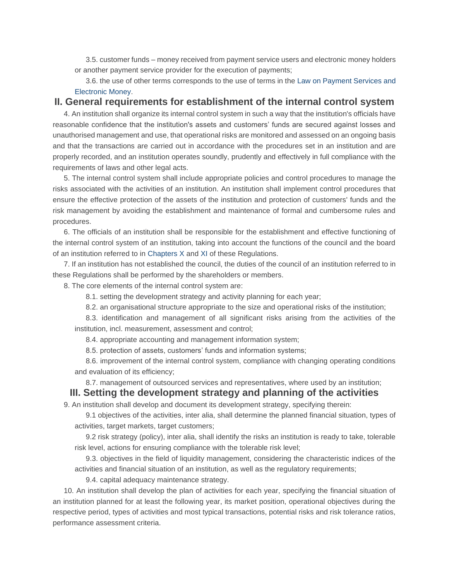3.5. customer funds – money received from payment service users and electronic money holders or another payment service provider for the execution of payments;

3.6. the use of other terms corresponds to the use of terms in the [Law on Payment Services and](https://m.likumi.lv/ta/id/206634-maksajumu-pakalpojumu-un-elektroniskas-naudas-likums)  [Electronic Money.](https://m.likumi.lv/ta/id/206634-maksajumu-pakalpojumu-un-elektroniskas-naudas-likums)

# **II. General requirements for establishment of the internal control system**

4. An institution shall organize its internal control system in such a way that the institution's officials have reasonable confidence that the institution's assets and customers' funds are secured against losses and unauthorised management and use, that operational risks are monitored and assessed on an ongoing basis and that the transactions are carried out in accordance with the procedures set in an institution and are properly recorded, and an institution operates soundly, prudently and effectively in full compliance with the requirements of laws and other legal acts.

5. The internal control system shall include appropriate policies and control procedures to manage the risks associated with the activities of an institution. An institution shall implement control procedures that ensure the effective protection of the assets of the institution and protection of customers' funds and the risk management by avoiding the establishment and maintenance of formal and cumbersome rules and procedures.

6. The officials of an institution shall be responsible for the establishment and effective functioning of the internal control system of an institution, taking into account the functions of the council and the board of an institution referred to in [Chapters X](https://m.likumi.lv/ta/id/313745#n10) and [XI](https://m.likumi.lv/ta/id/313745#n11) of these Regulations.

7. If an institution has not established the council, the duties of the council of an institution referred to in these Regulations shall be performed by the shareholders or members.

8. The core elements of the internal control system are:

8.1. setting the development strategy and activity planning for each year;

8.2. an organisational structure appropriate to the size and operational risks of the institution;

8.3. identification and management of all significant risks arising from the activities of the institution, incl. measurement, assessment and control;

8.4. appropriate accounting and management information system;

8.5. protection of assets, customers' funds and information systems;

8.6. improvement of the internal control system, compliance with changing operating conditions and evaluation of its efficiency;

8.7. management of outsourced services and representatives, where used by an institution;

## **III. Setting the development strategy and planning of the activities**

9. An institution shall develop and document its development strategy, specifying therein:

9.1 objectives of the activities, inter alia, shall determine the planned financial situation, types of activities, target markets, target customers;

9.2 risk strategy (policy), inter alia, shall identify the risks an institution is ready to take, tolerable risk level, actions for ensuring compliance with the tolerable risk level;

9.3. objectives in the field of liquidity management, considering the characteristic indices of the activities and financial situation of an institution, as well as the regulatory requirements;

9.4. capital adequacy maintenance strategy.

10. An institution shall develop the plan of activities for each year, specifying the financial situation of an institution planned for at least the following year, its market position, operational objectives during the respective period, types of activities and most typical transactions, potential risks and risk tolerance ratios, performance assessment criteria.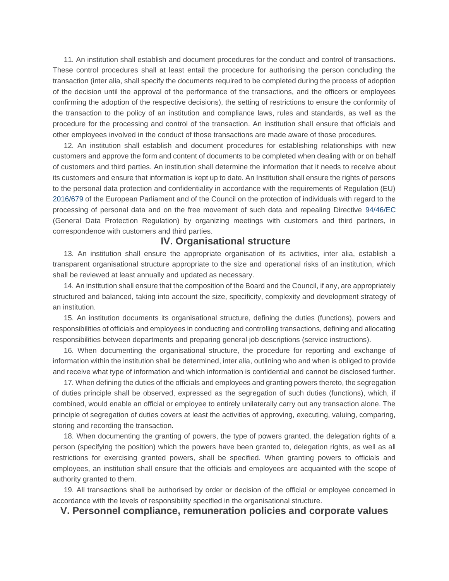11. An institution shall establish and document procedures for the conduct and control of transactions. These control procedures shall at least entail the procedure for authorising the person concluding the transaction (inter alia, shall specify the documents required to be completed during the process of adoption of the decision until the approval of the performance of the transactions, and the officers or employees confirming the adoption of the respective decisions), the setting of restrictions to ensure the conformity of the transaction to the policy of an institution and compliance laws, rules and standards, as well as the procedure for the processing and control of the transaction. An institution shall ensure that officials and other employees involved in the conduct of those transactions are made aware of those procedures.

12. An institution shall establish and document procedures for establishing relationships with new customers and approve the form and content of documents to be completed when dealing with or on behalf of customers and third parties. An institution shall determine the information that it needs to receive about its customers and ensure that information is kept up to date. An Institution shall ensure the rights of persons to the personal data protection and confidentiality in accordance with the requirements of Regulation (EU) [2016/679](http://eur-lex.europa.eu/eli/reg/2016/679/oj/?locale=LV) of the European Parliament and of the Council on the protection of individuals with regard to the processing of personal data and on the free movement of such data and repealing Directive [94/46/EC](http://eur-lex.europa.eu/eli/dir/1994/46/oj/?locale=LV) (General Data Protection Regulation) by organizing meetings with customers and third partners, in correspondence with customers and third parties.

## **IV. Organisational structure**

13. An institution shall ensure the appropriate organisation of its activities, inter alia, establish a transparent organisational structure appropriate to the size and operational risks of an institution, which shall be reviewed at least annually and updated as necessary.

14. An institution shall ensure that the composition of the Board and the Council, if any, are appropriately structured and balanced, taking into account the size, specificity, complexity and development strategy of an institution.

15. An institution documents its organisational structure, defining the duties (functions), powers and responsibilities of officials and employees in conducting and controlling transactions, defining and allocating responsibilities between departments and preparing general job descriptions (service instructions).

16. When documenting the organisational structure, the procedure for reporting and exchange of information within the institution shall be determined, inter alia, outlining who and when is obliged to provide and receive what type of information and which information is confidential and cannot be disclosed further.

17. When defining the duties of the officials and employees and granting powers thereto, the segregation of duties principle shall be observed, expressed as the segregation of such duties (functions), which, if combined, would enable an official or employee to entirely unilaterally carry out any transaction alone. The principle of segregation of duties covers at least the activities of approving, executing, valuing, comparing, storing and recording the transaction.

18. When documenting the granting of powers, the type of powers granted, the delegation rights of a person (specifying the position) which the powers have been granted to, delegation rights, as well as all restrictions for exercising granted powers, shall be specified. When granting powers to officials and employees, an institution shall ensure that the officials and employees are acquainted with the scope of authority granted to them.

19. All transactions shall be authorised by order or decision of the official or employee concerned in accordance with the levels of responsibility specified in the organisational structure.

#### **V. Personnel compliance, remuneration policies and corporate values**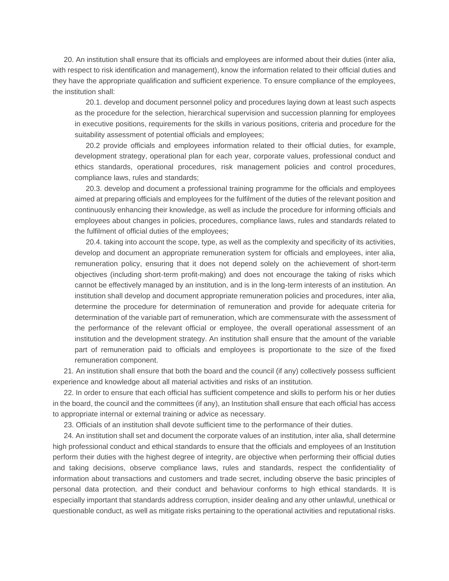20. An institution shall ensure that its officials and employees are informed about their duties (inter alia, with respect to risk identification and management), know the information related to their official duties and they have the appropriate qualification and sufficient experience. To ensure compliance of the employees, the institution shall:

20.1. develop and document personnel policy and procedures laying down at least such aspects as the procedure for the selection, hierarchical supervision and succession planning for employees in executive positions, requirements for the skills in various positions, criteria and procedure for the suitability assessment of potential officials and employees;

20.2 provide officials and employees information related to their official duties, for example, development strategy, operational plan for each year, corporate values, professional conduct and ethics standards, operational procedures, risk management policies and control procedures, compliance laws, rules and standards;

20.3. develop and document a professional training programme for the officials and employees aimed at preparing officials and employees for the fulfilment of the duties of the relevant position and continuously enhancing their knowledge, as well as include the procedure for informing officials and employees about changes in policies, procedures, compliance laws, rules and standards related to the fulfilment of official duties of the employees;

20.4. taking into account the scope, type, as well as the complexity and specificity of its activities, develop and document an appropriate remuneration system for officials and employees, inter alia, remuneration policy, ensuring that it does not depend solely on the achievement of short-term objectives (including short-term profit-making) and does not encourage the taking of risks which cannot be effectively managed by an institution, and is in the long-term interests of an institution. An institution shall develop and document appropriate remuneration policies and procedures, inter alia, determine the procedure for determination of remuneration and provide for adequate criteria for determination of the variable part of remuneration, which are commensurate with the assessment of the performance of the relevant official or employee, the overall operational assessment of an institution and the development strategy. An institution shall ensure that the amount of the variable part of remuneration paid to officials and employees is proportionate to the size of the fixed remuneration component.

21. An institution shall ensure that both the board and the council (if any) collectively possess sufficient experience and knowledge about all material activities and risks of an institution.

22. In order to ensure that each official has sufficient competence and skills to perform his or her duties in the board, the council and the committees (if any), an Institution shall ensure that each official has access to appropriate internal or external training or advice as necessary.

23. Officials of an institution shall devote sufficient time to the performance of their duties.

24. An institution shall set and document the corporate values of an institution, inter alia, shall determine high professional conduct and ethical standards to ensure that the officials and employees of an Institution perform their duties with the highest degree of integrity, are objective when performing their official duties and taking decisions, observe compliance laws, rules and standards, respect the confidentiality of information about transactions and customers and trade secret, including observe the basic principles of personal data protection, and their conduct and behaviour conforms to high ethical standards. It is especially important that standards address corruption, insider dealing and any other unlawful, unethical or questionable conduct, as well as mitigate risks pertaining to the operational activities and reputational risks.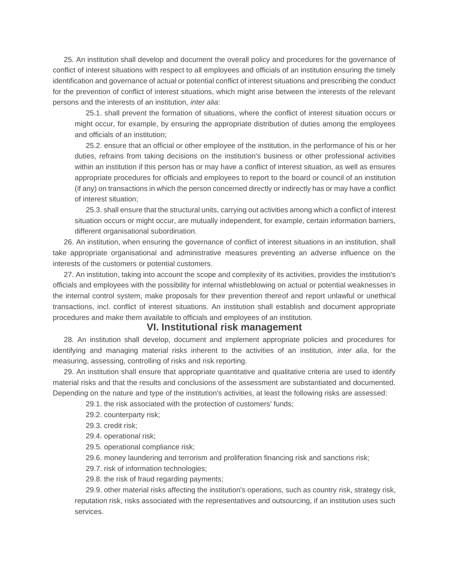25. An institution shall develop and document the overall policy and procedures for the governance of conflict of interest situations with respect to all employees and officials of an institution ensuring the timely identification and governance of actual or potential conflict of interest situations and prescribing the conduct for the prevention of conflict of interest situations, which might arise between the interests of the relevant persons and the interests of an institution, *inter alia*:

25.1. shall prevent the formation of situations, where the conflict of interest situation occurs or might occur, for example, by ensuring the appropriate distribution of duties among the employees and officials of an institution;

25.2. ensure that an official or other employee of the institution, in the performance of his or her duties, refrains from taking decisions on the institution's business or other professional activities within an institution if this person has or may have a conflict of interest situation, as well as ensures appropriate procedures for officials and employees to report to the board or council of an institution (if any) on transactions in which the person concerned directly or indirectly has or may have a conflict of interest situation;

25.3. shall ensure that the structural units, carrying out activities among which a conflict of interest situation occurs or might occur, are mutually independent, for example, certain information barriers, different organisational subordination.

26. An institution, when ensuring the governance of conflict of interest situations in an institution, shall take appropriate organisational and administrative measures preventing an adverse influence on the interests of the customers or potential customers.

27. An institution, taking into account the scope and complexity of its activities, provides the institution's officials and employees with the possibility for internal whistleblowing on actual or potential weaknesses in the internal control system, make proposals for their prevention thereof and report unlawful or unethical transactions, incl. conflict of interest situations. An institution shall establish and document appropriate procedures and make them available to officials and employees of an institution.

#### **VI. Institutional risk management**

28. An institution shall develop, document and implement appropriate policies and procedures for identifying and managing material risks inherent to the activities of an institution, *inter alia*, for the measuring, assessing, controlling of risks and risk reporting.

29. An institution shall ensure that appropriate quantitative and qualitative criteria are used to identify material risks and that the results and conclusions of the assessment are substantiated and documented. Depending on the nature and type of the institution's activities, at least the following risks are assessed:

29.1. the risk associated with the protection of customers' funds;

29.2. counterparty risk;

29.3. credit risk;

- 29.4. operational risk;
- 29.5. operational compliance risk;
- 29.6. money laundering and terrorism and proliferation financing risk and sanctions risk;
- 29.7. risk of information technologies;
- 29.8. the risk of fraud regarding payments;

29.9. other material risks affecting the institution's operations, such as country risk, strategy risk, reputation risk, risks associated with the representatives and outsourcing, if an institution uses such services.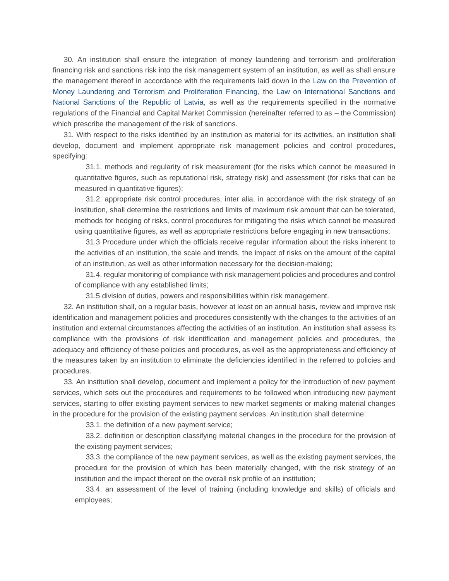30. An institution shall ensure the integration of money laundering and terrorism and proliferation financing risk and sanctions risk into the risk management system of an institution, as well as shall ensure the management thereof in accordance with the requirements laid down in the [Law on the Prevention of](https://m.likumi.lv/ta/id/178987-noziedzigi-iegutu-lidzeklu-legalizacijas-un-terorisma-un-proliferacijas-finansesanas-noversanas-likums)  [Money Laundering and Terrorism and Proliferation Financing,](https://m.likumi.lv/ta/id/178987-noziedzigi-iegutu-lidzeklu-legalizacijas-un-terorisma-un-proliferacijas-finansesanas-noversanas-likums) the [Law on International Sanctions and](https://m.likumi.lv/ta/id/280278-starptautisko-un-latvijas-republikas-nacionalo-sankciju-likums)  [National Sanctions of the Republic of Latvia,](https://m.likumi.lv/ta/id/280278-starptautisko-un-latvijas-republikas-nacionalo-sankciju-likums) as well as the requirements specified in the normative regulations of the Financial and Capital Market Commission (hereinafter referred to as – the Commission) which prescribe the management of the risk of sanctions.

31. With respect to the risks identified by an institution as material for its activities, an institution shall develop, document and implement appropriate risk management policies and control procedures, specifying:

31.1. methods and regularity of risk measurement (for the risks which cannot be measured in quantitative figures, such as reputational risk, strategy risk) and assessment (for risks that can be measured in quantitative figures);

31.2. appropriate risk control procedures, inter alia, in accordance with the risk strategy of an institution, shall determine the restrictions and limits of maximum risk amount that can be tolerated, methods for hedging of risks, control procedures for mitigating the risks which cannot be measured using quantitative figures, as well as appropriate restrictions before engaging in new transactions;

31.3 Procedure under which the officials receive regular information about the risks inherent to the activities of an institution, the scale and trends, the impact of risks on the amount of the capital of an institution, as well as other information necessary for the decision-making;

31.4. regular monitoring of compliance with risk management policies and procedures and control of compliance with any established limits;

31.5 division of duties, powers and responsibilities within risk management.

32. An institution shall, on a regular basis, however at least on an annual basis, review and improve risk identification and management policies and procedures consistently with the changes to the activities of an institution and external circumstances affecting the activities of an institution. An institution shall assess its compliance with the provisions of risk identification and management policies and procedures, the adequacy and efficiency of these policies and procedures, as well as the appropriateness and efficiency of the measures taken by an institution to eliminate the deficiencies identified in the referred to policies and procedures.

33. An institution shall develop, document and implement a policy for the introduction of new payment services, which sets out the procedures and requirements to be followed when introducing new payment services, starting to offer existing payment services to new market segments or making material changes in the procedure for the provision of the existing payment services. An institution shall determine:

33.1. the definition of a new payment service;

33.2. definition or description classifying material changes in the procedure for the provision of the existing payment services;

33.3. the compliance of the new payment services, as well as the existing payment services, the procedure for the provision of which has been materially changed, with the risk strategy of an institution and the impact thereof on the overall risk profile of an institution;

33.4. an assessment of the level of training (including knowledge and skills) of officials and employees;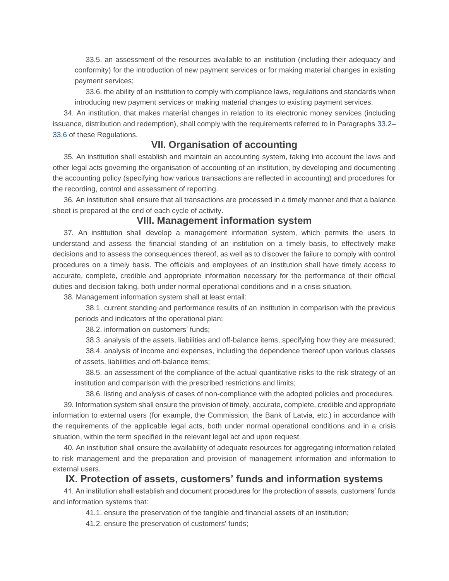33.5. an assessment of the resources available to an institution (including their adequacy and conformity) for the introduction of new payment services or for making material changes in existing payment services;

33.6. the ability of an institution to comply with compliance laws, regulations and standards when introducing new payment services or making material changes to existing payment services.

34. An institution, that makes material changes in relation to its electronic money services (including issuance, distribution and redemption), shall comply with the requirements referred to in Paragraphs [33.2–](https://m.likumi.lv/ta/id/313745#p33.2) [33.6](https://m.likumi.lv/ta/id/313745#p33.6) of these Regulations.

# **VII. Organisation of accounting**

35. An institution shall establish and maintain an accounting system, taking into account the laws and other legal acts governing the organisation of accounting of an institution, by developing and documenting the accounting policy (specifying how various transactions are reflected in accounting) and procedures for the recording, control and assessment of reporting.

36. An institution shall ensure that all transactions are processed in a timely manner and that a balance sheet is prepared at the end of each cycle of activity.

# **VIII. Management information system**

37. An institution shall develop a management information system, which permits the users to understand and assess the financial standing of an institution on a timely basis, to effectively make decisions and to assess the consequences thereof, as well as to discover the failure to comply with control procedures on a timely basis. The officials and employees of an institution shall have timely access to accurate, complete, credible and appropriate information necessary for the performance of their official duties and decision taking, both under normal operational conditions and in a crisis situation.

38. Management information system shall at least entail:

38.1. current standing and performance results of an institution in comparison with the previous periods and indicators of the operational plan;

38.2. information on customers' funds;

38.3. analysis of the assets, liabilities and off-balance items, specifying how they are measured;

38.4. analysis of income and expenses, including the dependence thereof upon various classes of assets, liabilities and off-balance items;

38.5. an assessment of the compliance of the actual quantitative risks to the risk strategy of an institution and comparison with the prescribed restrictions and limits;

38.6. listing and analysis of cases of non-compliance with the adopted policies and procedures.

39. Information system shall ensure the provision of timely, accurate, complete, credible and appropriate information to external users (for example, the Commission, the Bank of Latvia, etc.) in accordance with the requirements of the applicable legal acts, both under normal operational conditions and in a crisis situation, within the term specified in the relevant legal act and upon request.

40. An institution shall ensure the availability of adequate resources for aggregating information related to risk management and the preparation and provision of management information and information to external users.

# **IX. Protection of assets, customers' funds and information systems**

41. An institution shall establish and document procedures for the protection of assets, customers' funds and information systems that:

41.1. ensure the preservation of the tangible and financial assets of an institution;

41.2. ensure the preservation of customers' funds;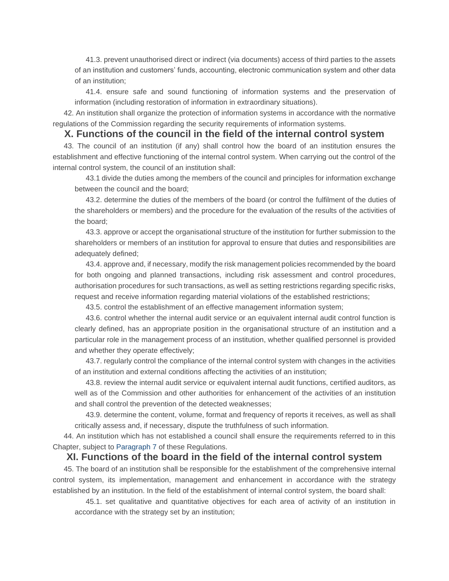41.3. prevent unauthorised direct or indirect (via documents) access of third parties to the assets of an institution and customers' funds, accounting, electronic communication system and other data of an institution;

41.4. ensure safe and sound functioning of information systems and the preservation of information (including restoration of information in extraordinary situations).

42. An institution shall organize the protection of information systems in accordance with the normative regulations of the Commission regarding the security requirements of information systems.

# **X. Functions of the council in the field of the internal control system**

43. The council of an institution (if any) shall control how the board of an institution ensures the establishment and effective functioning of the internal control system. When carrying out the control of the internal control system, the council of an institution shall:

43.1 divide the duties among the members of the council and principles for information exchange between the council and the board;

43.2. determine the duties of the members of the board (or control the fulfilment of the duties of the shareholders or members) and the procedure for the evaluation of the results of the activities of the board;

43.3. approve or accept the organisational structure of the institution for further submission to the shareholders or members of an institution for approval to ensure that duties and responsibilities are adequately defined;

43.4. approve and, if necessary, modify the risk management policies recommended by the board for both ongoing and planned transactions, including risk assessment and control procedures, authorisation procedures for such transactions, as well as setting restrictions regarding specific risks, request and receive information regarding material violations of the established restrictions;

43.5. control the establishment of an effective management information system;

43.6. control whether the internal audit service or an equivalent internal audit control function is clearly defined, has an appropriate position in the organisational structure of an institution and a particular role in the management process of an institution, whether qualified personnel is provided and whether they operate effectively;

43.7. regularly control the compliance of the internal control system with changes in the activities of an institution and external conditions affecting the activities of an institution;

43.8. review the internal audit service or equivalent internal audit functions, certified auditors, as well as of the Commission and other authorities for enhancement of the activities of an institution and shall control the prevention of the detected weaknesses;

43.9. determine the content, volume, format and frequency of reports it receives, as well as shall critically assess and, if necessary, dispute the truthfulness of such information.

44. An institution which has not established a council shall ensure the requirements referred to in this Chapter, subject to [Paragraph 7](https://m.likumi.lv/ta/id/313745#p7) of these Regulations.

#### **XI. Functions of the board in the field of the internal control system**

45. The board of an institution shall be responsible for the establishment of the comprehensive internal control system, its implementation, management and enhancement in accordance with the strategy established by an institution. In the field of the establishment of internal control system, the board shall:

45.1. set qualitative and quantitative objectives for each area of activity of an institution in accordance with the strategy set by an institution;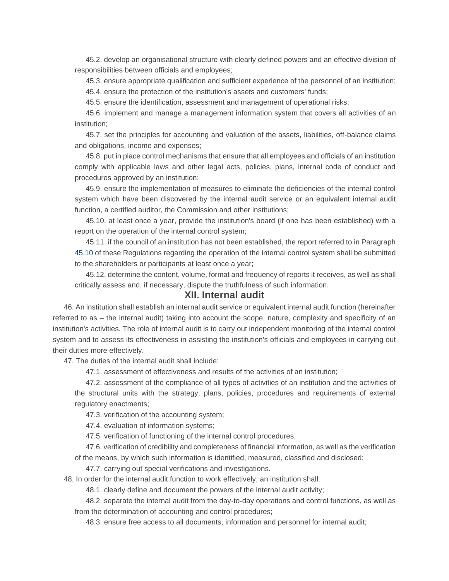45.2. develop an organisational structure with clearly defined powers and an effective division of responsibilities between officials and employees;

45.3. ensure appropriate qualification and sufficient experience of the personnel of an institution; 45.4. ensure the protection of the institution's assets and customers' funds;

45.5. ensure the identification, assessment and management of operational risks;

45.6. implement and manage a management information system that covers all activities of an institution;

45.7. set the principles for accounting and valuation of the assets, liabilities, off-balance claims and obligations, income and expenses;

45.8. put in place control mechanisms that ensure that all employees and officials of an institution comply with applicable laws and other legal acts, policies, plans, internal code of conduct and procedures approved by an institution;

45.9. ensure the implementation of measures to eliminate the deficiencies of the internal control system which have been discovered by the internal audit service or an equivalent internal audit function, a certified auditor, the Commission and other institutions;

45.10. at least once a year, provide the institution's board (if one has been established) with a report on the operation of the internal control system;

45.11. if the council of an institution has not been established, the report referred to in Paragraph [45.10](https://m.likumi.lv/ta/id/313745#p45.10) of these Regulations regarding the operation of the internal control system shall be submitted to the shareholders or participants at least once a year;

45.12. determine the content, volume, format and frequency of reports it receives, as well as shall critically assess and, if necessary, dispute the truthfulness of such information.

## **XII. Internal audit**

46. An institution shall establish an internal audit service or equivalent internal audit function (hereinafter referred to as – the internal audit) taking into account the scope, nature, complexity and specificity of an institution's activities. The role of internal audit is to carry out independent monitoring of the internal control system and to assess its effectiveness in assisting the institution's officials and employees in carrying out their duties more effectively.

47. The duties of the internal audit shall include:

47.1. assessment of effectiveness and results of the activities of an institution;

47.2. assessment of the compliance of all types of activities of an institution and the activities of the structural units with the strategy, plans, policies, procedures and requirements of external regulatory enactments;

47.3. verification of the accounting system;

47.4. evaluation of information systems;

47.5. verification of functioning of the internal control procedures;

47.6. verification of credibility and completeness of financial information, as well as the verification

of the means, by which such information is identified, measured, classified and disclosed;

47.7. carrying out special verifications and investigations.

48. In order for the internal audit function to work effectively, an institution shall:

48.1. clearly define and document the powers of the internal audit activity;

48.2. separate the internal audit from the day-to-day operations and control functions, as well as from the determination of accounting and control procedures;

48.3. ensure free access to all documents, information and personnel for internal audit;